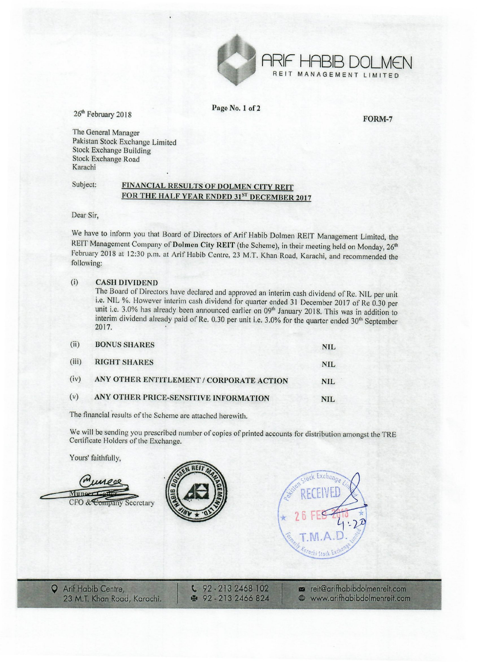

Page No.1 of 2

26<sup>th</sup> February 2018

FORM-7

The General Manager Pakistan Stock Exchange Limited Stock Exchange Building

Stock Exchange Road Karachi

## Subject: FINANCIAL RESULTS OF DOLMEN CITY REIT FOR THE HALF YEAR ENDED 31ST DECEMBER 2017

Dear Sir,

We have to inform you that Board of Directors of Arif Habib Dolmen REIT Management Limited, the REIT Management Company of Dolmen City REIT (the Scheme), in their meeting held on Monday, 26<sup>th</sup> February 2018 at 12:30 p.m, at Arif Habib Centre, 23 M.T. Khan Road, Karachi, and recommended the following:

## (i) CASH DIVIDEND

The Board of Directors have declared and approved an interim cash dividend of Re. NIL per unit i.e. NIL %. However interim cash dividend for quarter ended 31 December 2017 of Re 0.30 per unit i.e. 3.0% has already been announced earlier on 09<sup>th</sup> January 2018. This was in addition to interim dividend already paid of Re. 0.30 per unit i.e. 3.0% for the quarter ended 30<sup>th</sup> September 2017.

| (ii)  | <b>BONUS SHARES</b>                      | <b>NIL</b> |
|-------|------------------------------------------|------------|
| (iii) | <b>RIGHT SHARES</b>                      | <b>NIL</b> |
| (iv)  | ANY OTHER ENTITLEMENT / CORPORATE ACTION | <b>NIL</b> |
| (v)   | ANY OTHER PRICE-SENSITIVE INFORMATION    | NIL.       |

The financial results of the Scheme are attached herewith.

We will be sending you prescribed number of copies of printed accounts for distribution amongst the TRE Certificate Holders of the Exchange.

Yours' faithfully,

Extended Towers of the B<br>Yours' faithfully, Munoer Cador<br>CFO & Company Secretary reit@arifhabibdolmenreit.com **Q** Arif Habib Centre, 92 - 213 2468 102 www.arifhabibdolmenreit.com 23 M.T. Khan Road, Karachi. ● 92-213 2466 824